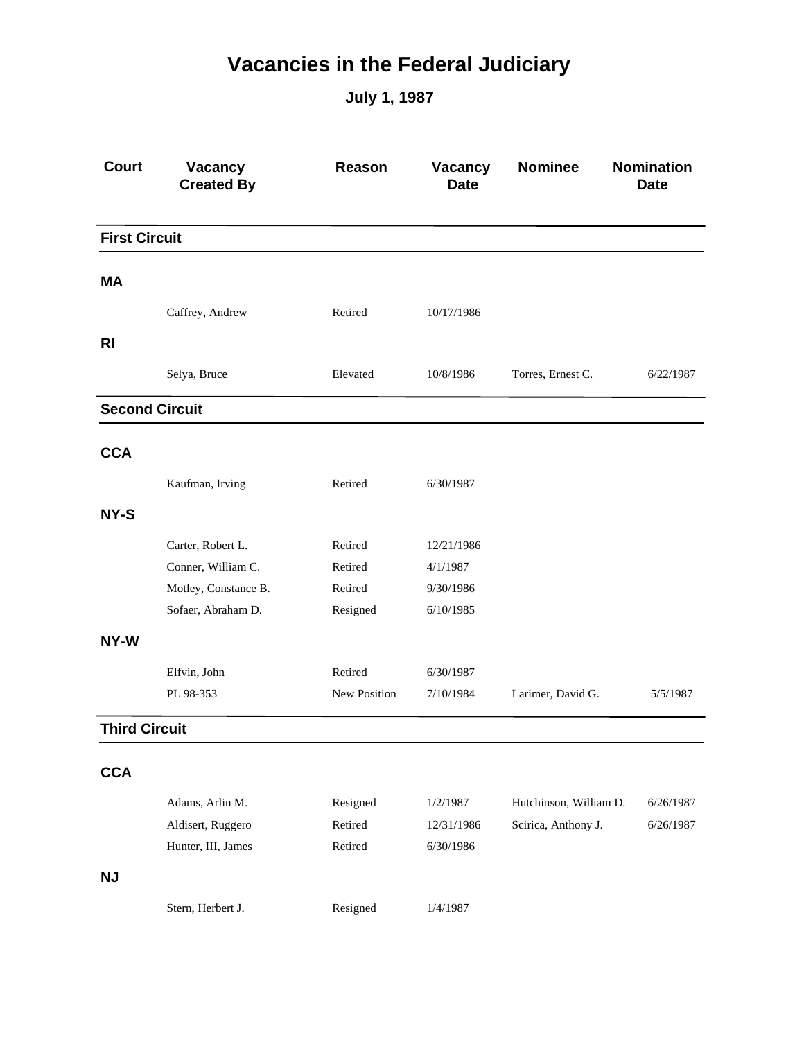## **Vacancies in the Federal Judiciary**

**July 1, 1987**

| <b>Court</b>          | Vacancy<br><b>Created By</b> | <b>Reason</b> | Vacancy<br><b>Date</b> | <b>Nominee</b>         | <b>Nomination</b><br><b>Date</b> |
|-----------------------|------------------------------|---------------|------------------------|------------------------|----------------------------------|
| <b>First Circuit</b>  |                              |               |                        |                        |                                  |
| MА                    |                              |               |                        |                        |                                  |
|                       | Caffrey, Andrew              | Retired       | 10/17/1986             |                        |                                  |
| R <sub>l</sub>        |                              |               |                        |                        |                                  |
|                       | Selya, Bruce                 | Elevated      | 10/8/1986              | Torres, Ernest C.      | 6/22/1987                        |
| <b>Second Circuit</b> |                              |               |                        |                        |                                  |
| <b>CCA</b>            |                              |               |                        |                        |                                  |
|                       | Kaufman, Irving              | Retired       | 6/30/1987              |                        |                                  |
| NY-S                  |                              |               |                        |                        |                                  |
|                       | Carter, Robert L.            | Retired       | 12/21/1986             |                        |                                  |
|                       | Conner, William C.           | Retired       | 4/1/1987               |                        |                                  |
|                       | Motley, Constance B.         | Retired       | 9/30/1986              |                        |                                  |
|                       | Sofaer, Abraham D.           | Resigned      | 6/10/1985              |                        |                                  |
| NY-W                  |                              |               |                        |                        |                                  |
|                       | Elfvin, John                 | Retired       | 6/30/1987              |                        |                                  |
|                       | PL 98-353                    | New Position  | 7/10/1984              | Larimer, David G.      | 5/5/1987                         |
| <b>Third Circuit</b>  |                              |               |                        |                        |                                  |
| <b>CCA</b>            |                              |               |                        |                        |                                  |
|                       | Adams, Arlin M.              | Resigned      | 1/2/1987               | Hutchinson, William D. | 6/26/1987                        |
|                       | Aldisert, Ruggero            | Retired       | 12/31/1986             | Scirica, Anthony J.    | 6/26/1987                        |
|                       | Hunter, III, James           | Retired       | 6/30/1986              |                        |                                  |
| <b>NJ</b>             |                              |               |                        |                        |                                  |
|                       | Stern, Herbert J.            | Resigned      | 1/4/1987               |                        |                                  |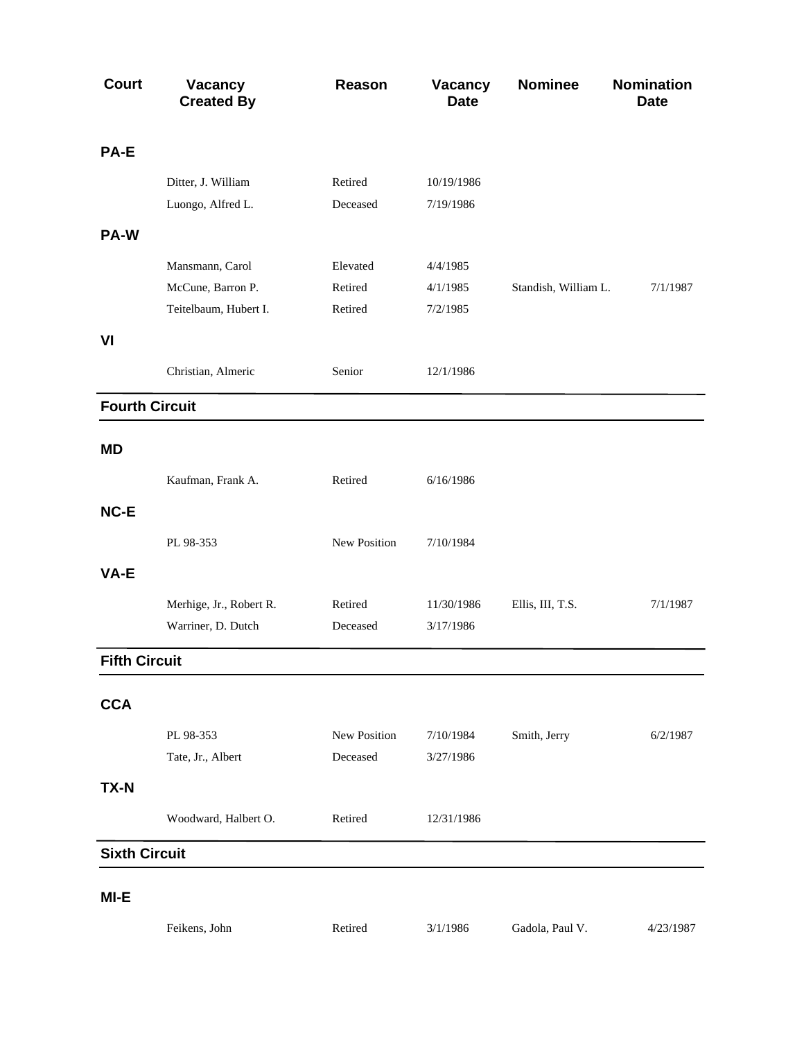| <b>Court</b>          | <b>Vacancy</b><br><b>Created By</b> | <b>Reason</b> | <b>Vacancy</b><br><b>Date</b> | <b>Nominee</b>       | <b>Nomination</b><br><b>Date</b> |
|-----------------------|-------------------------------------|---------------|-------------------------------|----------------------|----------------------------------|
| PA-E                  |                                     |               |                               |                      |                                  |
|                       | Ditter, J. William                  | Retired       | 10/19/1986                    |                      |                                  |
|                       | Luongo, Alfred L.                   | Deceased      | 7/19/1986                     |                      |                                  |
| PA-W                  |                                     |               |                               |                      |                                  |
|                       | Mansmann, Carol                     | Elevated      | 4/4/1985                      |                      |                                  |
|                       | McCune, Barron P.                   | Retired       | 4/1/1985                      | Standish, William L. | 7/1/1987                         |
|                       | Teitelbaum, Hubert I.               | Retired       | 7/2/1985                      |                      |                                  |
| VI                    |                                     |               |                               |                      |                                  |
|                       | Christian, Almeric                  | Senior        | 12/1/1986                     |                      |                                  |
| <b>Fourth Circuit</b> |                                     |               |                               |                      |                                  |
| <b>MD</b>             |                                     |               |                               |                      |                                  |
|                       | Kaufman, Frank A.                   | Retired       | 6/16/1986                     |                      |                                  |
| NC-E                  |                                     |               |                               |                      |                                  |
|                       | PL 98-353                           | New Position  | 7/10/1984                     |                      |                                  |
| VA-E                  |                                     |               |                               |                      |                                  |
|                       | Merhige, Jr., Robert R.             | Retired       | 11/30/1986                    | Ellis, III, T.S.     | 7/1/1987                         |
|                       | Warriner, D. Dutch                  | Deceased      | 3/17/1986                     |                      |                                  |
| <b>Fifth Circuit</b>  |                                     |               |                               |                      |                                  |
| <b>CCA</b>            |                                     |               |                               |                      |                                  |
|                       | PL 98-353                           | New Position  | 7/10/1984                     | Smith, Jerry         | 6/2/1987                         |
|                       | Tate, Jr., Albert                   | Deceased      | 3/27/1986                     |                      |                                  |
| <b>TX-N</b>           |                                     |               |                               |                      |                                  |
|                       | Woodward, Halbert O.                | Retired       | 12/31/1986                    |                      |                                  |
|                       |                                     |               |                               |                      |                                  |
| <b>Sixth Circuit</b>  |                                     |               |                               |                      |                                  |
| MI-E                  |                                     |               |                               |                      |                                  |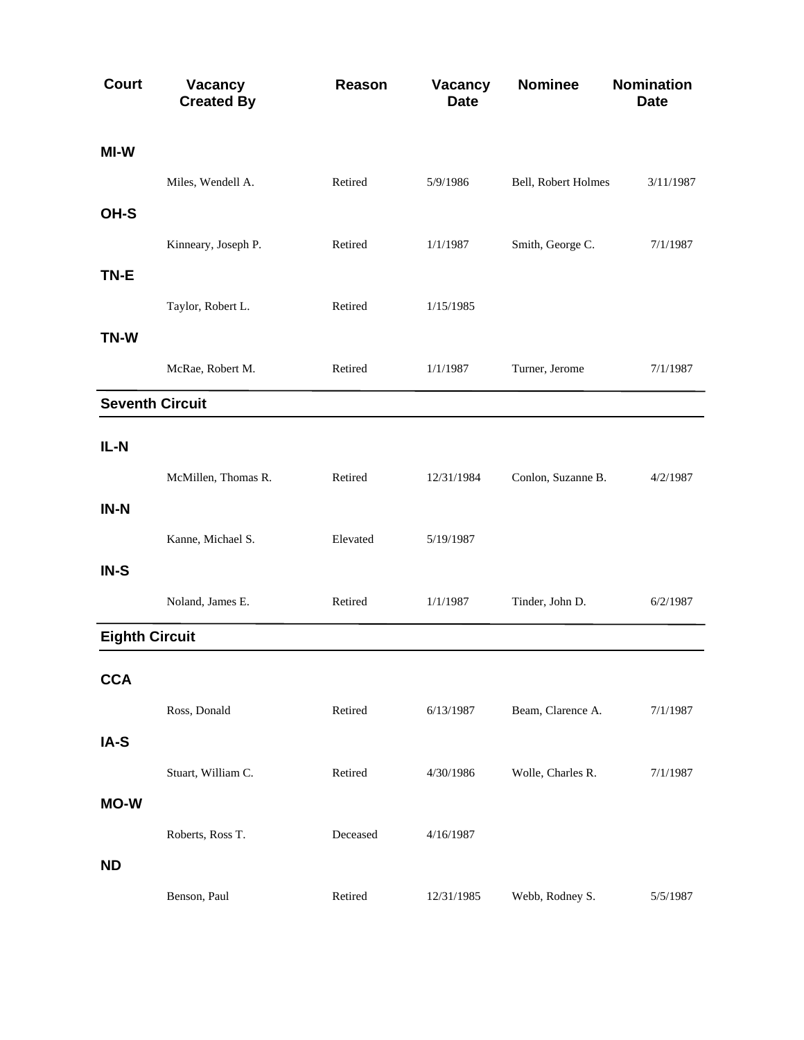| <b>Court</b>          | Vacancy<br><b>Created By</b> | Reason   | Vacancy<br><b>Date</b> | <b>Nominee</b>      | Nomination<br><b>Date</b> |
|-----------------------|------------------------------|----------|------------------------|---------------------|---------------------------|
| MI-W                  |                              |          |                        |                     |                           |
|                       | Miles, Wendell A.            | Retired  | 5/9/1986               | Bell, Robert Holmes | 3/11/1987                 |
| OH-S                  |                              |          |                        |                     |                           |
|                       | Kinneary, Joseph P.          | Retired  | 1/1/1987               | Smith, George C.    | 7/1/1987                  |
| TN-E                  |                              |          |                        |                     |                           |
|                       | Taylor, Robert L.            | Retired  | 1/15/1985              |                     |                           |
| TN-W                  |                              |          |                        |                     |                           |
|                       | McRae, Robert M.             | Retired  | 1/1/1987               | Turner, Jerome      | 7/1/1987                  |
|                       | <b>Seventh Circuit</b>       |          |                        |                     |                           |
| $IL-N$                |                              |          |                        |                     |                           |
|                       | McMillen, Thomas R.          | Retired  | 12/31/1984             | Conlon, Suzanne B.  | 4/2/1987                  |
| IN-N                  |                              |          |                        |                     |                           |
|                       | Kanne, Michael S.            | Elevated | 5/19/1987              |                     |                           |
| IN-S                  |                              |          |                        |                     |                           |
|                       | Noland, James E.             | Retired  | 1/1/1987               | Tinder, John D.     | 6/2/1987                  |
| <b>Eighth Circuit</b> |                              |          |                        |                     |                           |
| <b>CCA</b>            |                              |          |                        |                     |                           |
|                       | Ross, Donald                 | Retired  | 6/13/1987              | Beam, Clarence A.   | 7/1/1987                  |
| IA-S                  |                              |          |                        |                     |                           |
|                       | Stuart, William C.           | Retired  | 4/30/1986              | Wolle, Charles R.   | 7/1/1987                  |
| <b>MO-W</b>           |                              |          |                        |                     |                           |
|                       | Roberts, Ross T.             | Deceased | 4/16/1987              |                     |                           |
| <b>ND</b>             |                              |          |                        |                     |                           |
|                       | Benson, Paul                 | Retired  | 12/31/1985             | Webb, Rodney S.     | 5/5/1987                  |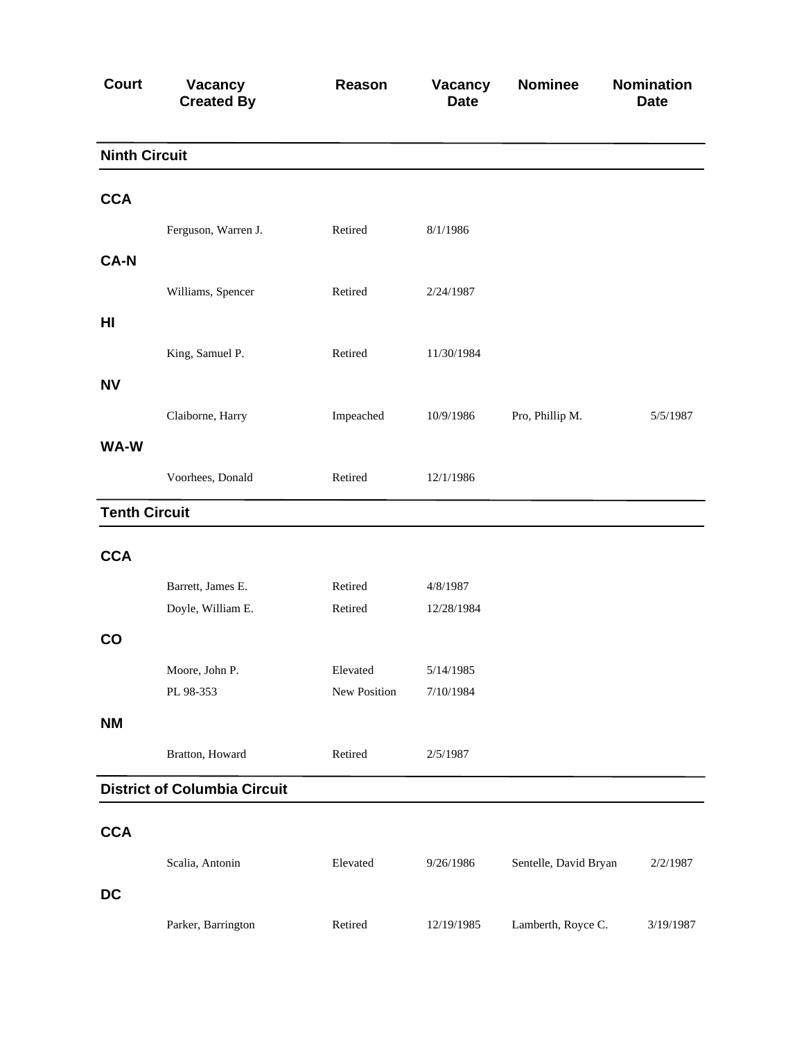| <b>Court</b>         | Vacancy<br><b>Created By</b>        | Reason       | Vacancy<br><b>Date</b> | <b>Nominee</b>        | <b>Nomination</b><br><b>Date</b> |
|----------------------|-------------------------------------|--------------|------------------------|-----------------------|----------------------------------|
| <b>Ninth Circuit</b> |                                     |              |                        |                       |                                  |
| <b>CCA</b>           |                                     |              |                        |                       |                                  |
|                      | Ferguson, Warren J.                 | Retired      | 8/1/1986               |                       |                                  |
| <b>CA-N</b>          |                                     |              |                        |                       |                                  |
|                      | Williams, Spencer                   | Retired      | 2/24/1987              |                       |                                  |
| H <sub>II</sub>      |                                     |              |                        |                       |                                  |
|                      | King, Samuel P.                     | Retired      | 11/30/1984             |                       |                                  |
| <b>NV</b>            |                                     |              |                        |                       |                                  |
|                      | Claiborne, Harry                    | Impeached    | 10/9/1986              | Pro, Phillip M.       | 5/5/1987                         |
| WA-W                 |                                     |              |                        |                       |                                  |
|                      | Voorhees, Donald                    | Retired      | 12/1/1986              |                       |                                  |
| <b>Tenth Circuit</b> |                                     |              |                        |                       |                                  |
|                      |                                     |              |                        |                       |                                  |
| <b>CCA</b>           |                                     |              |                        |                       |                                  |
|                      | Barrett, James E.                   | Retired      | 4/8/1987               |                       |                                  |
|                      | Doyle, William E.                   | Retired      | 12/28/1984             |                       |                                  |
| CO                   |                                     |              |                        |                       |                                  |
|                      | Moore, John P.                      | Elevated     | 5/14/1985              |                       |                                  |
|                      | PL 98-353                           | New Position | 7/10/1984              |                       |                                  |
| <b>NM</b>            |                                     |              |                        |                       |                                  |
|                      | Bratton, Howard                     | Retired      | 2/5/1987               |                       |                                  |
|                      | <b>District of Columbia Circuit</b> |              |                        |                       |                                  |
|                      |                                     |              |                        |                       |                                  |
| <b>CCA</b>           |                                     |              |                        |                       |                                  |
|                      | Scalia, Antonin                     | Elevated     | 9/26/1986              | Sentelle, David Bryan | 2/2/1987                         |
| <b>DC</b>            |                                     |              |                        |                       |                                  |
|                      | Parker, Barrington                  | Retired      | 12/19/1985             | Lamberth, Royce C.    | 3/19/1987                        |